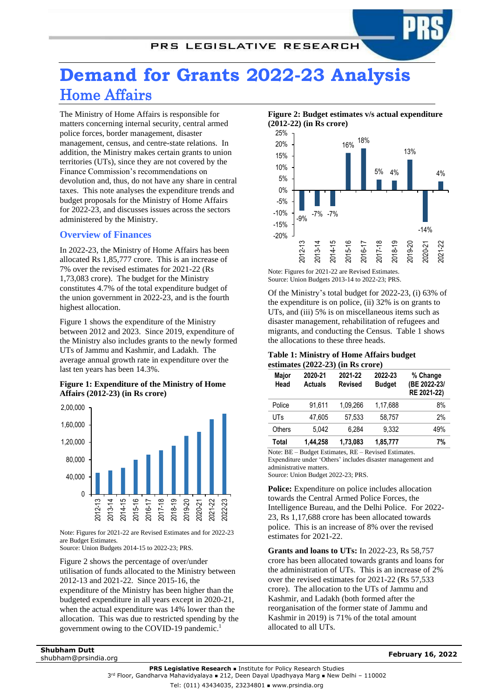# PRS LEGISLATIVE RESEARCH

# **Demand for Grants 2022-23 Analysis** Home Affairs

The Ministry of Home Affairs is responsible for matters concerning internal security, central armed police forces, border management, disaster management, census, and centre-state relations. In addition, the Ministry makes certain grants to union territories (UTs), since they are not covered by the Finance Commission's recommendations on devolution and, thus, do not have any share in central taxes. This note analyses the expenditure trends and budget proposals for the Ministry of Home Affairs for 2022-23, and discusses issues across the sectors administered by the Ministry.

# **Overview of Finances**

In 2022-23, the Ministry of Home Affairs has been allocated Rs 1,85,777 crore. This is an increase of 7% over the revised estimates for 2021-22 (Rs 1,73,083 crore). The budget for the Ministry constitutes 4.7% of the total expenditure budget of the union government in 2022-23, and is the fourth highest allocation.

Figure 1 shows the expenditure of the Ministry between 2012 and 2023. Since 2019, expenditure of the Ministry also includes grants to the newly formed UTs of Jammu and Kashmir, and Ladakh. The average annual growth rate in expenditure over the last ten years has been 14.3%.

# **Figure 1: Expenditure of the Ministry of Home Affairs (2012-23) (in Rs crore)**



Note: Figures for 2021-22 are Revised Estimates and for 2022-23 are Budget Estimates.

Source: Union Budgets 2014-15 to 2022-23; PRS.

[Figure 2](#page-0-0) shows the percentage of over/under utilisation of funds allocated to the Ministry between 2012-13 and 2021-22. Since 2015-16, the expenditure of the Ministry has been higher than the budgeted expenditure in all years except in 2020-21, when the actual expenditure was 14% lower than the allocation. This was due to restricted spending by the government owing to the COVID-19 pandemic.<sup>1</sup>

<span id="page-0-0"></span>**Figure 2: Budget estimates v/s actual expenditure (2012-22) (in Rs crore)**



Note: Figures for 2021-22 are Revised Estimates. Source: Union Budgets 2013-14 to 2022-23; PRS.

Of the Ministry's total budget for 2022-23, (i) 63% of the expenditure is on police, (ii) 32% is on grants to UTs, and (iii) 5% is on miscellaneous items such as disaster management, rehabilitation of refugees and migrants, and conducting the Census. [Table 1](#page-0-1) shows the allocations to these three heads.

#### <span id="page-0-1"></span>**Table 1: Ministry of Home Affairs budget estimates (2022-23) (in Rs crore)**

| Major<br>Head | 2020-21<br><b>Actuals</b> | 2021-22<br><b>Revised</b> | 2022-23<br><b>Budget</b> | % Change<br>(BE 2022-23/<br>RE 2021-22) |
|---------------|---------------------------|---------------------------|--------------------------|-----------------------------------------|
| Police        | 91.611                    | 1.09.266                  | 1.17.688                 | 8%                                      |
| UTs           | 47.605                    | 57.533                    | 58.757                   | 2%                                      |
| Others        | 5.042                     | 6.284                     | 9.332                    | 49%                                     |
| Total         | 1.44.258                  | 1,73,083                  | 1,85,777                 | 7%                                      |

Note: BE – Budget Estimates, RE – Revised Estimates. Expenditure under 'Others' includes disaster management and administrative matters. Source: Union Budget 2022-23; PRS.

**Police:** Expenditure on police includes allocation towards the Central Armed Police Forces, the Intelligence Bureau, and the Delhi Police. For 2022- 23, Rs 1,17,688 crore has been allocated towards police. This is an increase of 8% over the revised estimates for 2021-22.

**Grants and loans to UTs:** In 2022-23, Rs 58,757 crore has been allocated towards grants and loans for the administration of UTs. This is an increase of 2% over the revised estimates for 2021-22 (Rs 57,533 crore). The allocation to the UTs of Jammu and Kashmir, and Ladakh (both formed after the reorganisation of the former state of Jammu and Kashmir in 2019) is 71% of the total amount allocated to all UTs.

**Shubham Dutt** shubham@prsindia.org **February 16, 2022**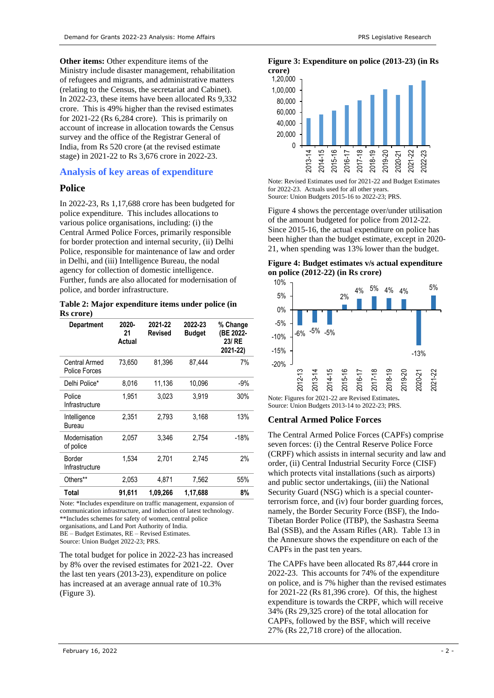**Other items:** Other expenditure items of the Ministry include disaster management, rehabilitation of refugees and migrants, and administrative matters (relating to the Census, the secretariat and Cabinet). In 2022-23, these items have been allocated Rs 9,332 crore. This is 49% higher than the revised estimates for 2021-22 (Rs 6,284 crore). This is primarily on account of increase in allocation towards the Census survey and the office of the Registrar General of India, from Rs 520 crore (at the revised estimate stage) in 2021-22 to Rs 3,676 crore in 2022-23.

# **Analysis of key areas of expenditure**

# **Police**

In 2022-23, Rs 1,17,688 crore has been budgeted for police expenditure. This includes allocations to various police organisations, including: (i) the Central Armed Police Forces, primarily responsible for border protection and internal security, (ii) Delhi Police, responsible for maintenance of law and order in Delhi, and (iii) Intelligence Bureau, the nodal agency for collection of domestic intelligence. Further, funds are also allocated for modernisation of police, and border infrastructure.

<span id="page-1-2"></span>**Table 2: Major expenditure items under police (in Rs crore)**

| <b>Department</b>              | 2020-<br>21<br>Actual | 2021-22<br>Revised | 2022-23<br><b>Budget</b> | % Change<br>(BE 2022-<br>23/ RE<br>2021-22) |
|--------------------------------|-----------------------|--------------------|--------------------------|---------------------------------------------|
| Central Armed<br>Police Forces | 73.650                | 81,396             | 87.444                   | 7%                                          |
| Delhi Police*                  | 8,016                 | 11,136             | 10,096                   | $-9%$                                       |
| Police<br>Infrastructure       | 1.951                 | 3.023              | 3.919                    | 30%                                         |
| Intelligence<br>Bureau         | 2.351                 | 2,793              | 3,168                    | 13%                                         |
| Modernisation<br>of police     | 2,057                 | 3,346              | 2,754                    | $-18%$                                      |
| Border<br>Infrastructure       | 1,534                 | 2,701              | 2.745                    | 2%                                          |
| Others**                       | 2,053                 | 4,871              | 7,562                    | 55%                                         |
| Total                          | 91.611                | 1,09,266           | 1,17,688                 | 8%                                          |

Note: \*Includes expenditure on traffic management, expansion of communication infrastructure, and induction of latest technology. \*\*Includes schemes for safety of women, central police organisations, and Land Port Authority of India. BE – Budget Estimates, RE – Revised Estimates. Source: Union Budget 2022-23; PRS.

The total budget for police in 2022-23 has increased by 8% over the revised estimates for 2021-22. Over the last ten years (2013-23), expenditure on police has increased at an average annual rate of 10.3% [\(Figure 3\)](#page-1-0).

#### <span id="page-1-0"></span>**Figure 3: Expenditure on police (2013-23) (in Rs crore)**



Note: Revised Estimates used for 2021-22 and Budget Estimates for 2022-23. Actuals used for all other years. Source: Union Budgets 2015-16 to 2022-23; PRS.

[Figure 4](#page-1-1) shows the percentage over/under utilisation of the amount budgeted for police from 2012-22. Since 2015-16, the actual expenditure on police has been higher than the budget estimate, except in 2020- 21, when spending was 13% lower than the budget.

<span id="page-1-1"></span>**Figure 4: Budget estimates v/s actual expenditure on police (2012-22) (in Rs crore)**



Note: Figures for 2021-22 are Revised Estimates**.**  Source: Union Budgets 2013-14 to 2022-23; PRS.

# **Central Armed Police Forces**

The Central Armed Police Forces (CAPFs) comprise seven forces: (i) the Central Reserve Police Force (CRPF) which assists in internal security and law and order, (ii) Central Industrial Security Force (CISF) which protects vital installations (such as airports) and public sector undertakings, (iii) the National Security Guard (NSG) which is a special counterterrorism force, and (iv) four border guarding forces, namely, the Border Security Force (BSF), the Indo-Tibetan Border Police (ITBP), the Sashastra Seema Bal (SSB), and the Assam Rifles (AR). [Table 13](#page-8-0) in the Annexure shows the expenditure on each of the CAPFs in the past ten years.

The CAPFs have been allocated Rs 87,444 crore in 2022-23. This accounts for 74% of the expenditure on police, and is 7% higher than the revised estimates for 2021-22 (Rs 81,396 crore). Of this, the highest expenditure is towards the CRPF, which will receive 34% (Rs 29,325 crore) of the total allocation for CAPFs, followed by the BSF, which will receive 27% (Rs 22,718 crore) of the allocation.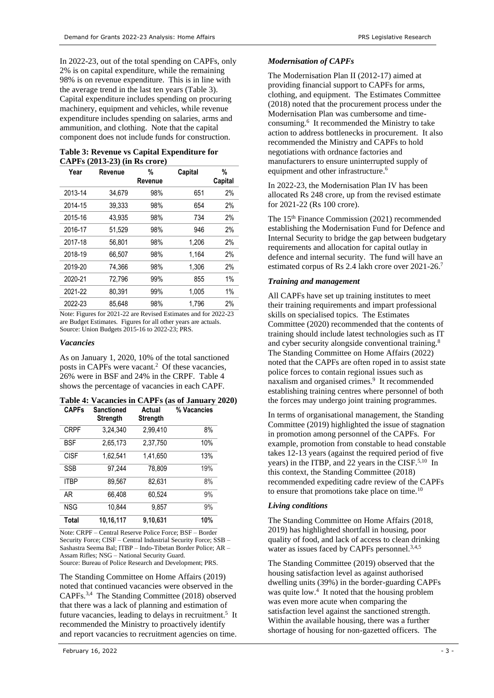In 2022-23, out of the total spending on CAPFs, only 2% is on capital expenditure, while the remaining 98% is on revenue expenditure. This is in line with the average trend in the last ten years [\(Table 3\)](#page-2-0). Capital expenditure includes spending on procuring machinery, equipment and vehicles, while revenue expenditure includes spending on salaries, arms and ammunition, and clothing. Note that the capital component does not include funds for construction.

#### <span id="page-2-0"></span>**Table 3: Revenue vs Capital Expenditure for CAPFs (2013-23) (in Rs crore)**

| Year    | Revenue | %<br>Revenue | Capital | %<br>Capital |
|---------|---------|--------------|---------|--------------|
| 2013-14 | 34,679  | 98%          | 651     | 2%           |
| 2014-15 | 39,333  | 98%          | 654     | 2%           |
| 2015-16 | 43.935  | 98%          | 734     | 2%           |
| 2016-17 | 51,529  | 98%          | 946     | 2%           |
| 2017-18 | 56.801  | 98%          | 1,206   | 2%           |
| 2018-19 | 66.507  | 98%          | 1,164   | 2%           |
| 2019-20 | 74.366  | 98%          | 1,306   | 2%           |
| 2020-21 | 72,796  | 99%          | 855     | 1%           |
| 2021-22 | 80.391  | 99%          | 1,005   | 1%           |
| 2022-23 | 85.648  | 98%          | 1.796   | 2%           |

Note: Figures for 2021-22 are Revised Estimates and for 2022-23 are Budget Estimates. Figures for all other years are actuals. Source: Union Budgets 2015-16 to 2022-23; PRS.

#### *Vacancies*

As on January 1, 2020, 10% of the total sanctioned posts in CAPFs were vacant.<sup>2</sup> Of these vacancies, 26% were in BSF and 24% in the CRPF. [Table 4](#page-2-1) shows the percentage of vacancies in each CAPF.

#### <span id="page-2-1"></span>**Table 4: Vacancies in CAPFs (as of January 2020)**

| <b>CAPFs</b> | <b>Sanctioned</b><br>Strength | Actual<br>Strength | % Vacancies |
|--------------|-------------------------------|--------------------|-------------|
| <b>CRPF</b>  | 3,24,340                      | 2,99,410           | 8%          |
| <b>BSF</b>   | 2,65,173                      | 2,37,750           | 10%         |
| <b>CISF</b>  | 1,62,541                      | 1,41,650           | 13%         |
| <b>SSB</b>   | 97,244                        | 78,809             | 19%         |
| <b>ITBP</b>  | 89,567                        | 82,631             | 8%          |
| AR           | 66,408                        | 60,524             | 9%          |
| <b>NSG</b>   | 10.844                        | 9.857              | 9%          |
| Total        | 10,16,117                     | 9,10,631           | 10%         |

Note: CRPF – Central Reserve Police Force; BSF – Border Security Force; CISF – Central Industrial Security Force; SSB – Sashastra Seema Bal; ITBP – Indo-Tibetan Border Police; AR – Assam Rifles; NSG – National Security Guard. Source: Bureau of Police Research and Development; PRS.

<span id="page-2-6"></span><span id="page-2-5"></span>The Standing Committee on Home Affairs (2019) noted that continued vacancies were observed in the CAPFs. 3,4 The Standing Committee (2018) observed that there was a lack of planning and estimation of future vacancies, leading to delays in recruitment.<sup>5</sup> It recommended the Ministry to proactively identify and report vacancies to recruitment agencies on time.

# *Modernisation of CAPFs*

<span id="page-2-2"></span>The Modernisation Plan II (2012-17) aimed at providing financial support to CAPFs for arms, clothing, and equipment. The Estimates Committee (2018) noted that the procurement process under the Modernisation Plan was cumbersome and timeconsuming.<sup>6</sup> It recommended the Ministry to take action to address bottlenecks in procurement. It also recommended the Ministry and CAPFs to hold negotiations with ordnance factories and manufacturers to ensure uninterrupted supply of equipment and other infrastructure[.](#page-2-2) 6

In 2022-23, the Modernisation Plan IV has been allocated Rs 248 crore, up from the revised estimate for 2021-22 (Rs 100 crore).

The 15th Finance Commission (2021) recommended establishing the Modernisation Fund for Defence and Internal Security to bridge the gap between budgetary requirements and allocation for capital outlay in defence and internal security. The fund will have an estimated corpus of Rs 2.4 lakh crore over 2021-26.<sup>7</sup>

## <span id="page-2-8"></span>*Training and management*

All CAPFs have set up training institutes to meet their training requirements and impart professional skills on specialised topics. The Estimates Committee (2020) recommended that the contents of training should include latest technologies such as IT and cyber security alongside conventional training.<sup>8</sup> The Standing Committee on Home Affairs (2022) noted that the CAPFs are often roped in to assist state police forces to contain regional issues such as naxalism and organised crimes.<sup>9</sup> It recommended establishing training centres where personnel of both the forces may undergo joint training programmes.

<span id="page-2-7"></span>In terms of organisational management, the Standing Committee (2019) highlighted the issue of stagnation in promotion among personnel of the CAPFs. For example, promotion from constable to head constable takes 12-13 years (against the required period of five years) in the ITBP, and 22 years in the CISF.<sup>[5,1](#page-2-3)0</sup> In this context, the Standing Committee (2018) recommended expediting cadre review of the CAPFs to ensure that promotions take place on time.<sup>[10](#page-2-4)</sup>

## <span id="page-2-4"></span>*Living conditions*

The Standing Committee on Home Affairs (2018, 2019) has highlighted shortfall in housing, poor quality of food, and lack of access to clean drinking water as issues faced by CAPFs personnel.<sup>[3,](#page-2-5)[4,](#page-2-6)[5](#page-2-3)</sup>

<span id="page-2-3"></span>The Standing Committee (2019) observed that the housing satisfaction level as against authorised dwelling units (39%) in the border-guarding CAPFs was quite low.<sup>[4](#page-2-6)</sup> It noted that the housing problem was even more acute when comparing the satisfaction level against the sanctioned strength. Within the available housing, there was a further shortage of housing for non-gazetted officers. The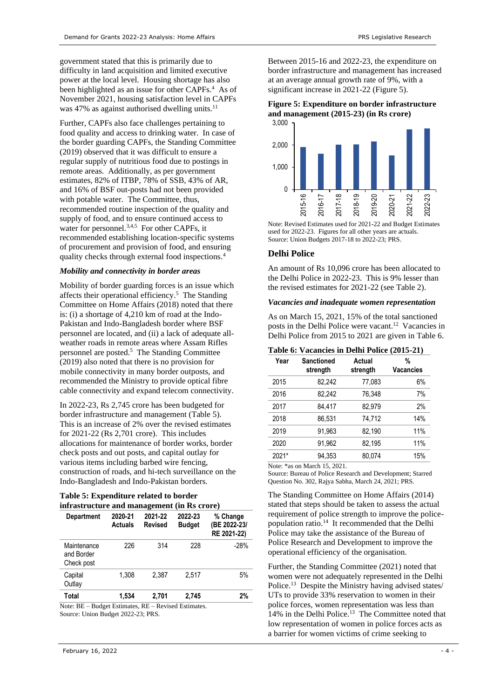government stated that this is primarily due to difficulty in land acquisition and limited executive power at the local level. Housing shortage has also beenhighlighted as an issue for other CAPFs.<sup>4</sup> As of November 2021, housing satisfaction level in CAPFs was 47% as against authorised dwelling units. $^{11}$ 

Further, CAPFs also face challenges pertaining to food quality and access to drinking water. In case of the border guarding CAPFs, the Standing Committee (2019) observed that it was difficult to ensure a regular supply of nutritious food due to postings in remote areas. Additionally, as per government estimates, 82% of ITBP, 78% of SSB, 43% of AR, and 16% of BSF out-posts had not been provided with potable water. The Committee, thus, recommended routine inspection of the quality and supply of food, and to ensure continued access to water for personnel.<sup>[3,](#page-2-5)[4,](#page-2-6)[5](#page-2-3)</sup> For other CAPFs, it recommended establishing location-specific systems of procurement and provision of food, and ensuring quality checks through external food inspections[.](#page-2-6)<sup>4</sup>

#### *Mobility and connectivity in border areas*

Mobility of border guarding forces is an issue which affects their operational efficiency. [5](#page-2-3) The Standing Committee on Home Affairs (2018) noted that there is: (i) a shortage of 4,210 km of road at the Indo-Pakistan and Indo-Bangladesh border where BSF personnel are located, and (ii) a lack of adequate allweather roads in remote areas where Assam Rifles personnel are poste[d.](#page-2-3)<sup>5</sup> The Standing Committee (2019) also noted that there is no provision for mobile connectivity in many border outposts, and recommended the Ministry to provide optical fibre cable connectivity and expand telecom connectivity.

In 2022-23, Rs 2,745 crore has been budgeted for border infrastructure and management [\(Table 5\)](#page-3-0). This is an increase of 2% over the revised estimates for 2021-22 (Rs 2,701 crore). This includes allocations for maintenance of border works, border check posts and out posts, and capital outlay for various items including barbed wire fencing, construction of roads, and hi-tech surveillance on the Indo-Bangladesh and Indo-Pakistan borders.

#### <span id="page-3-0"></span>**Table 5: Expenditure related to border infrastructure and management (in Rs crore)**

| <b>Department</b>                       | 2020-21<br><b>Actuals</b> | 2021-22<br><b>Revised</b> | 2022-23<br><b>Budget</b> | % Change<br>(BE 2022-23/<br>RE 2021-22) |
|-----------------------------------------|---------------------------|---------------------------|--------------------------|-----------------------------------------|
| Maintenance<br>and Border<br>Check post | 226                       | 314                       | 228                      | $-28%$                                  |
| Capital<br>Outlay                       | 1,308                     | 2.387                     | 2.517                    | 5%                                      |
| Total                                   | 1.534                     | 2,701                     | 2,745                    | 2%                                      |

Note: BE – Budget Estimates, RE – Revised Estimates. Source: Union Budget 2022-23; PRS.

Between 2015-16 and 2022-23, the expenditure on border infrastructure and management has increased at an average annual growth rate of 9%, with a significant increase in 2021-22 [\(Figure 5\)](#page-3-1).

#### <span id="page-3-1"></span>**Figure 5: Expenditure on border infrastructure and management (2015-23) (in Rs crore)** 3,000



Note: Revised Estimates used for 2021-22 and Budget Estimates used for 2022-23. Figures for all other years are actuals. Source: Union Budgets 2017-18 to 2022-23; PRS.

# **Delhi Police**

An amount of Rs 10,096 crore has been allocated to the Delhi Police in 2022-23. This is 9% lesser than the revised estimates for 2021-22 (se[e Table 2\)](#page-1-2).

## *Vacancies and inadequate women representation*

As on March 15, 2021, 15% of the total sanctioned posts in the Delhi Police were vacant.<sup>12</sup> Vacancies in Delhi Police from 2015 to 2021 are given in [Table 6.](#page-3-2)

#### <span id="page-3-2"></span>**Table 6: Vacancies in Delhi Police (2015-21)**

| Year  | <b>Sanctioned</b><br>strength | Actual<br>strength | %<br><b>Vacancies</b> |
|-------|-------------------------------|--------------------|-----------------------|
| 2015  | 82,242                        | 77,083             | 6%                    |
| 2016  | 82,242                        | 76.348             | 7%                    |
| 2017  | 84.417                        | 82,979             | 2%                    |
| 2018  | 86.531                        | 74,712             | 14%                   |
| 2019  | 91,963                        | 82,190             | 11%                   |
| 2020  | 91.962                        | 82.195             | 11%                   |
| 2021* | 94,353                        | 80,074             | 15%                   |

Note: \*as on March 15, 2021.

Source: Bureau of Police Research and Development; Starred Question No. 302, Rajya Sabha, March 24, 2021; PRS.

The Standing Committee on Home Affairs (2014) stated that steps should be taken to assess the actual requirement of police strength to improve the police-population ratio.<sup>[14](#page-4-0)</sup> It recommended that the Delhi Police may take the assistance of the Bureau of Police Research and Development to improve the operational efficiency of the organisation.

<span id="page-3-3"></span>Further, the Standing Committee (2021) noted that women were not adequately represented in the Delhi Police.<sup>13</sup> Despite the Ministry having advised states/ UTs to provide 33% reservation to women in their police forces, women representation was less than 14% in the Delhi Police.[13](#page-3-3) The Committee noted that low representation of women in police forces acts as a barrier for women victims of crime seeking to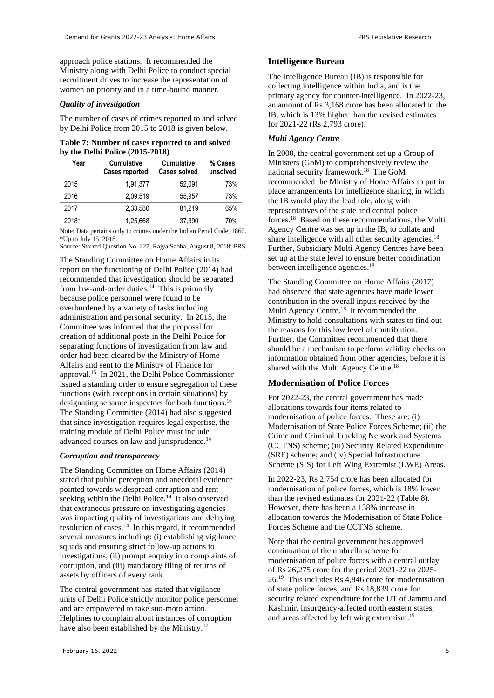approach police stations. It recommended the Ministry along with Delhi Police to conduct special recruitment drives to increase the representation of women on priority and in a time-bound manner.

# *Quality of investigation*

The number of cases of crimes reported to and solved by Delhi Police from 2015 to 2018 is given below.

| Table 7: Number of cases reported to and solved |  |
|-------------------------------------------------|--|
| by the Delhi Police $(2015-2018)$               |  |

| Year  | <b>Cumulative</b><br><b>Cases reported</b> | <b>Cumulative</b><br><b>Cases solved</b> | % Cases<br>unsolved |
|-------|--------------------------------------------|------------------------------------------|---------------------|
| 2015  | 1,91,377                                   | 52,091                                   | 73%                 |
| 2016  | 2.09.519                                   | 55.957                                   | 73%                 |
| 2017  | 2.33.580                                   | 81.219                                   | 65%                 |
| 2018* | 1.25.668                                   | 37,390                                   | 70%                 |

Note: Data pertains only to crimes under the Indian Penal Code, 1860. \*Up to July 15, 2018.

Source: Starred Question No. 227, Rajya Sabha, August 8, 2018; PRS.

<span id="page-4-0"></span>The Standing Committee on Home Affairs in its report on the functioning of Delhi Police (2014) had recommended that investigation should be separated from law-and-order duties.<sup>14</sup> This is primarily because police personnel were found to be overburdened by a variety of tasks including administration and personal security. In 2015, the Committee was informed that the proposal for creation of additional posts in the Delhi Police for separating functions of investigation from law and order had been cleared by the Ministry of Home Affairs and sent to the Ministry of Finance for approval. 15 In 2021, the Delhi Police Commissioner issued a standing order to ensure segregation of these functions (with exceptions in certain situations) by designating separate inspectors for both functions. 16 The Standing Committee (2014) had also suggested that since investigation requires legal expertise, the training module of Delhi Police must include advanced courses on law and jurisprudence.<sup>[14](#page-4-0)</sup>

# *Corruption and transparency*

The Standing Committee on Home Affairs (2014) stated that public perception and anecdotal evidence pointed towards widespread corruption and rent-seeking within the Delhi Police.<sup>[14](#page-4-0)</sup> It also observed that extraneous pressure on investigating agencies was impacting quality of investigations and delaying resolution of cases.<sup>[14](#page-4-0)</sup> In this regard, it recommended several measures including: (i) establishing vigilance squads and ensuring strict follow-up actions to investigations, (ii) prompt enquiry into complaints of corruption, and (iii) mandatory filing of returns of assets by officers of every rank.

The central government has stated that vigilance units of Delhi Police strictly monitor police personnel and are empowered to take suo-moto action. Helplines to complain about instances of corruption have also been established by the Ministry.<sup>17</sup>

# **Intelligence Bureau**

The Intelligence Bureau (IB) is responsible for collecting intelligence within India, and is the primary agency for counter-intelligence. In 2022-23, an amount of Rs 3,168 crore has been allocated to the IB, which is 13% higher than the revised estimates for 2021-22 (Rs 2,793 crore).

# *Multi Agency Centre*

<span id="page-4-1"></span>In 2000, the central government set up a Group of Ministers (GoM) to comprehensively review the national security framework. 18 The GoM recommended the Ministry of Home Affairs to put in place arrangements for intelligence sharing, in which the IB would play the lead role, along with representatives of the state and central police forces.[18](#page-4-1) Based on these recommendations, the Multi Agency Centre was set up in the IB, to collate and share intelligence with all other security agencies.<sup>[18](#page-4-1)</sup> Further, Subsidiary Multi Agency Centres have been set up at the state level to ensure better coordination between intelligence agencies.<sup>[18](#page-4-1)</sup>

The Standing Committee on Home Affairs (2017) had observed that state agencies have made lower contribution in the overall inputs received by the Multi Agency Centre.<sup>[18](#page-4-1)</sup> It recommended the Ministry to hold consultations with states to find out the reasons for this low level of contribution. Further, the Committee recommended that there should be a mechanism to perform validity checks on information obtained from other agencies, before it is shared with the Multi Agency Centre. [18](#page-4-1)

# **Modernisation of Police Forces**

For 2022-23, the central government has made allocations towards four items related to modernisation of police forces. These are: (i) Modernisation of State Police Forces Scheme; (ii) the Crime and Criminal Tracking Network and Systems (CCTNS) scheme; (iii) Security Related Expenditure (SRE) scheme; and (iv) Special Infrastructure Scheme (SIS) for Left Wing Extremist (LWE) Areas.

In 2022-23, Rs 2,754 crore has been allocated for modernisation of police forces, which is 18% lower than the revised estimates for 2021-22 [\(Table 8\)](#page-5-0). However, there has been a 158% increase in allocation towards the Modernisation of State Police Forces Scheme and the CCTNS scheme.

<span id="page-4-2"></span>Note that the central government has approved continuation of the umbrella scheme for modernisation of police forces with a central outlay of Rs 26,275 crore for the period 2021-22 to 2025- 26.<sup>19</sup> This includes Rs 4,846 crore for modernisation of state police forces, and Rs 18,839 crore for security related expenditure for the UT of Jammu and Kashmir, insurgency-affected north eastern states, and areas affected by left wing extremism.<sup>[19](#page-4-2)</sup>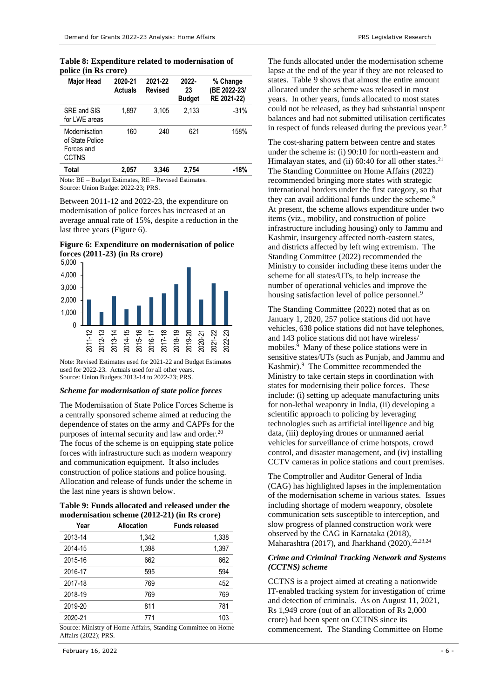<span id="page-5-0"></span>**Table 8: Expenditure related to modernisation of police (in Rs crore)**

| <b>Major Head</b>                                              | 2020-21<br><b>Actuals</b> | 2021-22<br><b>Revised</b> | 2022-<br>23<br><b>Budget</b> | % Change<br>(BE 2022-23/<br>RE 2021-22) |
|----------------------------------------------------------------|---------------------------|---------------------------|------------------------------|-----------------------------------------|
| SRE and SIS<br>for LWE areas                                   | 1.897                     | 3.105                     | 2.133                        | $-31%$                                  |
| Modernisation<br>of State Police<br>Forces and<br><b>CCTNS</b> | 160                       | 240                       | 621                          | 158%                                    |
| Total                                                          | 2.057                     | 3.346                     | 2,754                        | -18%                                    |

Note: BE – Budget Estimates, RE – Revised Estimates. Source: Union Budget 2022-23; PRS.

Between 2011-12 and 2022-23, the expenditure on modernisation of police forces has increased at an average annual rate of 15%, despite a reduction in the last three years [\(Figure 6\)](#page-5-1).

<span id="page-5-1"></span>**Figure 6: Expenditure on modernisation of police forces (2011-23) (in Rs crore)**



Note: Revised Estimates used for 2021-22 and Budget Estimates used for 2022-23. Actuals used for all other years. Source: Union Budgets 2013-14 to 2022-23; PRS.

#### *Scheme for modernisation of state police forces*

The Modernisation of State Police Forces Scheme is a centrally sponsored scheme aimed at reducing the dependence of states on the army and CAPFs for the purposes of internal security and law and order.<sup>20</sup> The focus of the scheme is on equipping state police forces with infrastructure such as modern weaponry and communication equipment. It also includes construction of police stations and police housing. Allocation and release of funds under the scheme in the last nine years is shown below.

<span id="page-5-2"></span>**Table 9: Funds allocated and released under the modernisation scheme (2012-21) (in Rs crore)**

| Year    | <b>Allocation</b>      | <b>Funds released</b>           |
|---------|------------------------|---------------------------------|
| 2013-14 | 1,342                  | 1,338                           |
| 2014-15 | 1,398                  | 1,397                           |
| 2015-16 | 662                    | 662                             |
| 2016-17 | 595                    | 594                             |
| 2017-18 | 769                    | 452                             |
| 2018-19 | 769                    | 769                             |
| 2019-20 | 811                    | 781                             |
| 2020-21 | 771                    | 103                             |
| .       | $\sim$ $-$<br>$\cdots$ | $\overline{\phantom{a}}$<br>- - |

Source: Ministry of Home Affairs, Standing Committee on Home Affairs (2022); PRS.

The funds allocated under the modernisation scheme lapse at the end of the year if they are not released to states. [Table 9](#page-5-2) shows that almost the entire amount allocated under the scheme was released in most years. In other years, funds allocated to most states could not be released, as they had substantial unspent balances and had not submitted utilisation certificates in respect of funds released during the previous year[.](#page-2-7)<sup>9</sup>

The cost-sharing pattern between centre and states under the scheme is: (i) 90:10 for north-eastern and Himalayan states, and (ii) 60:40 for all other states.<sup>21</sup> The Standing Committee on Home Affairs (2022) recommended bringing more states with strategic international borders under the first category, so that they can avail additional funds under the schem[e.](#page-2-7)<sup>9</sup> At present, the scheme allows expenditure under two items (viz., mobility, and construction of police infrastructure including housing) only to Jammu and Kashmir, insurgency affected north-eastern states, and districts affected by left wing extremism. The Standing Committee (2022) recommended the Ministry to consider including these items under the scheme for all states/UTs, to help increase the number of operational vehicles and improve the housing satisfaction level of police personnel[.](#page-2-7)<sup>9</sup>

The Standing Committee (2022) noted that as on January 1, 2020, 257 police stations did not have vehicles, 638 police stations did not have telephones, and 143 police stations did not have wireless/ mobiles.<sup>9</sup> Many of these police stations were in sensitive states/UTs (such as Punjab, and Jammu and Kashmir)[.](#page-2-7)<sup>9</sup> The Committee recommended the Ministry to take certain steps in coordination with states for modernising their police forces. These include: (i) setting up adequate manufacturing units for non-lethal weaponry in India, (ii) developing a scientific approach to policing by leveraging technologies such as artificial intelligence and big data, (iii) deploying drones or unmanned aerial vehicles for surveillance of crime hotspots, crowd control, and disaster management, and (iv) installing CCTV cameras in police stations and court premises.

The Comptroller and Auditor General of India (CAG) has highlighted lapses in the implementation of the modernisation scheme in various states. Issues including shortage of modern weaponry, obsolete communication sets susceptible to interception, and slow progress of planned construction work were observed by the CAG in Karnataka (2018), Maharashtra (2017), and Jharkhand (2020).<sup>22,23,24</sup>

#### <span id="page-5-3"></span>*Crime and Criminal Tracking Network and Systems (CCTNS) scheme*

CCTNS is a project aimed at creating a nationwide IT-enabled tracking system for investigation of crime and detection of criminals. As on August 11, 2021, Rs 1,949 crore (out of an allocation of Rs 2,000 crore) had been spent on CCTNS since its commencement. The Standing Committee on Home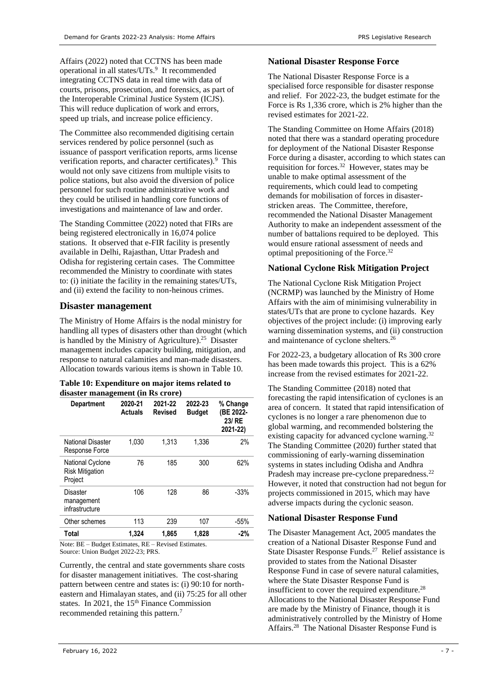Affairs (2022) noted that CCTNS has been made operational in all states/UTs.<sup>[9](#page-2-7)</sup> It recommended integrating CCTNS data in real time with data of courts, prisons, prosecution, and forensics, as part of the Interoperable Criminal Justice System (ICJS). This will reduce duplication of work and errors, speed up trials, and increase police efficiency.

The Committee also recommended digitising certain services rendered by police personnel (such as issuance of passport verification reports, arms license verificationreports, and character certificates).<sup>9</sup> This would not only save citizens from multiple visits to police stations, but also avoid the diversion of police personnel for such routine administrative work and they could be utilised in handling core functions of investigations and maintenance of law and order.

The Standing Committee (2022) noted that FIRs are being registered electronically in 16,074 police stations. It observed that e-FIR facility is presently available in Delhi, Rajasthan, Uttar Pradesh and Odisha for registering certain cases. The Committee recommended the Ministry to coordinate with states to: (i) initiate the facility in the remaining states/UTs, and (ii) extend the facility to non-heinous crimes.

# **Disaster management**

The Ministry of Home Affairs is the nodal ministry for handling all types of disasters other than drought (which is handled by the Ministry of Agriculture).<sup>25</sup> Disaster management includes capacity building, mitigation, and response to natural calamities and man-made disasters. Allocation towards various items is shown in [Table 10.](#page-6-0)

## <span id="page-6-0"></span>**Table 10: Expenditure on major items related to disaster management (in Rs crore)**

| <b>Department</b>                                     | 2020-21<br><b>Actuals</b> | 2021-22<br><b>Revised</b> | 2022-23<br><b>Budget</b> | % Change<br>(BE 2022-<br>23/ RE<br>2021-22) |
|-------------------------------------------------------|---------------------------|---------------------------|--------------------------|---------------------------------------------|
| National Disaster<br>Response Force                   | 1,030                     | 1,313                     | 1,336                    | 2%                                          |
| National Cyclone<br><b>Risk Mitigation</b><br>Project | 76                        | 185                       | 300                      | 62%                                         |
| Disaster<br>management<br>infrastructure              | 106                       | 128                       | 86                       | $-33%$                                      |
| Other schemes                                         | 113                       | 239                       | 107                      | $-55%$                                      |
| Total                                                 | 1,324                     | 1,865                     | 1,828                    | -2%                                         |

Note: BE – Budget Estimates, RE – Revised Estimates. Source: Union Budget 2022-23; PRS.

Currently, the central and state governments share costs for disaster management initiatives. The cost-sharing pattern between centre and states is: (i) 90:10 for northeastern and Himalayan states, and (ii) 75:25 for all other states. In 2021, the 15<sup>th</sup> Finance Commission recommended retaining this pattern[.](#page-2-8)<sup>7</sup>

# **National Disaster Response Force**

The National Disaster Response Force is a specialised force responsible for disaster response and relief. For 2022-23, the budget estimate for the Force is Rs 1,336 crore, which is 2% higher than the revised estimates for 2021-22.

The Standing Committee on Home Affairs (2018) noted that there was a standard operating procedure for deployment of the National Disaster Response Force during a disaster, according to which states can requisition for forces.<sup>[32](#page-7-0)</sup> However, states may be unable to make optimal assessment of the requirements, which could lead to competing demands for mobilisation of forces in disasterstricken areas. The Committee, therefore, recommended the National Disaster Management Authority to make an independent assessment of the number of battalions required to be deployed. This would ensure rational assessment of needs and optimal prepositioning of the Force. [32](#page-7-0)

# **National Cyclone Risk Mitigation Project**

The National Cyclone Risk Mitigation Project (NCRMP) was launched by the Ministry of Home Affairs with the aim of minimising vulnerability in states/UTs that are prone to cyclone hazards. Key objectives of the project include: (i) improving early warning dissemination systems, and (ii) construction and maintenance of cyclone shelters.<sup>26</sup>

For 2022-23, a budgetary allocation of Rs 300 crore has been made towards this project. This is a 62% increase from the revised estimates for 2021-22.

The Standing Committee (2018) noted that forecasting the rapid intensification of cyclones is an area of concern. It stated that rapid intensification of cyclones is no longer a rare phenomenon due to global warming, and recommended bolstering the existing capacity for advanced cyclone warning.<sup>[32](#page-7-0)</sup> The Standing Committee (2020) further stated that commissioning of early-warning dissemination systems in states including Odisha and Andhra Pradesh may increase pre-cyclone preparedness.<sup>[22](#page-5-3)</sup> However, it noted that construction had not begun for projects commissioned in 2015, which may have adverse impacts during the cyclonic season.

# **National Disaster Response Fund**

<span id="page-6-1"></span>The Disaster Management Act, 2005 mandates the creation of a National Disaster Response Fund and State Disaster Response Funds.<sup>27</sup> Relief assistance is provided to states from the National Disaster Response Fund in case of severe natural calamities, where the State Disaster Response Fund is insufficient to cover the required expenditure.<sup>28</sup> Allocations to the National Disaster Response Fund are made by the Ministry of Finance, though it is administratively controlled by the Ministry of Home Affairs.[28](#page-6-1) The National Disaster Response Fund is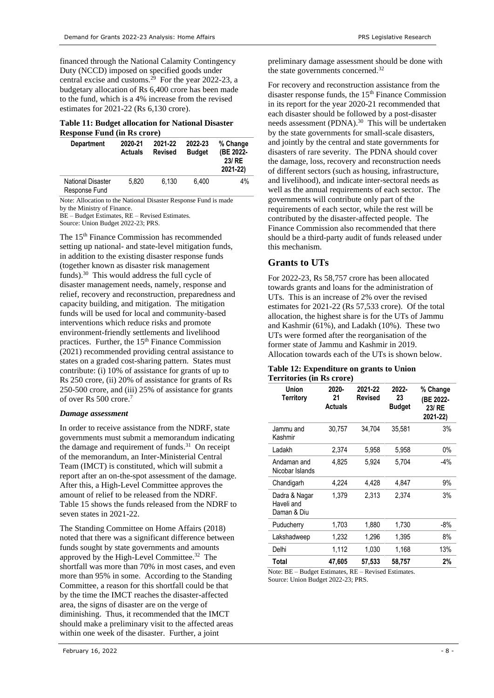financed through the National Calamity Contingency Duty (NCCD) imposed on specified goods under central excise and customs.<sup>29</sup> For the year 2022-23, a budgetary allocation of Rs 6,400 crore has been made to the fund, which is a 4% increase from the revised estimates for 2021-22 (Rs 6,130 crore).

#### **Table 11: Budget allocation for National Disaster Response Fund (in Rs crore)**

| <b>Department</b>                         | 2020-21<br><b>Actuals</b> | 2021-22<br><b>Revised</b> | 2022-23<br><b>Budget</b> | % Change<br>(BE 2022-<br>23/ RE<br>2021-22) |
|-------------------------------------------|---------------------------|---------------------------|--------------------------|---------------------------------------------|
| <b>National Disaster</b><br>Response Fund | 5.820                     | 6.130                     | 6.400                    | 4%                                          |

Note: Allocation to the National Disaster Response Fund is made by the Ministry of Finance.

BE – Budget Estimates, RE – Revised Estimates. Source: Union Budget 2022-23; PRS.

<span id="page-7-1"></span>The 15<sup>th</sup> Finance Commission has recommended setting up national- and state-level mitigation funds, in addition to the existing disaster response funds (together known as disaster risk management funds). 30 This would address the full cycle of disaster management needs, namely, response and relief, recovery and reconstruction, preparedness and capacity building, and mitigation. The mitigation funds will be used for local and community-based interventions which reduce risks and promote environment-friendly settlements and livelihood practices. Further, the 15<sup>th</sup> Finance Commission (2021) recommended providing central assistance to states on a graded cost-sharing pattern. States must contribute: (i) 10% of assistance for grants of up to Rs 250 crore, (ii) 20% of assistance for grants of Rs 250-500 crore, and (iii) 25% of assistance for grants of over Rs 500 cror[e.](#page-2-8)<sup>7</sup>

## *Damage assessment*

In order to receive assistance from the NDRF, state governments must submit a memorandum indicating the damage and requirement of funds.<sup>31</sup> On receipt of the memorandum, an Inter-Ministerial Central Team (IMCT) is constituted, which will submit a report after an on-the-spot assessment of the damage. After this, a High-Level Committee approves the amount of relief to be released from the NDRF. [Table 15](#page-8-1) shows the funds released from the NDRF to seven states in 2021-22.

The Standing Committee on Home Affairs (2018) noted that there was a significant difference between funds sought by state governments and amounts approved by the High-Level Committee. 32 The shortfall was more than 70% in most cases, and even more than 95% in some. According to the Standing Committee, a reason for this shortfall could be that by the time the IMCT reaches the disaster-affected area, the signs of disaster are on the verge of diminishing. Thus, it recommended that the IMCT should make a preliminary visit to the affected areas within one week of the disaster. Further, a joint

preliminary damage assessment should be done with the state governments concerned.[32](#page-7-0)

For recovery and reconstruction assistance from the disaster response funds, the 15<sup>th</sup> Finance Commission in its report for the year 2020-21 recommended that each disaster should be followed by a post-disaster needs assessment (PDNA).<sup>[30](#page-7-1)</sup> This will be undertaken by the state governments for small-scale disasters, and jointly by the central and state governments for disasters of rare severity. The PDNA should cover the damage, loss, recovery and reconstruction needs of different sectors (such as housing, infrastructure, and livelihood), and indicate inter-sectoral needs as well as the annual requirements of each sector. The governments will contribute only part of the requirements of each sector, while the rest will be contributed by the disaster-affected people. The Finance Commission also recommended that there should be a third-party audit of funds released under this mechanism.

# **Grants to UTs**

For 2022-23, Rs 58,757 crore has been allocated towards grants and loans for the administration of UTs. This is an increase of 2% over the revised estimates for 2021-22 (Rs 57,533 crore). Of the total allocation, the highest share is for the UTs of Jammu and Kashmir (61%), and Ladakh (10%). These two UTs were formed after the reorganisation of the former state of Jammu and Kashmir in 2019. Allocation towards each of the UTs is shown below.

#### **Table 12: Expenditure on grants to Union Territories (in Rs crore)**

| <b>Union</b><br><b>Territory</b>           | 2020-<br>21<br><b>Actuals</b> | 2021-22<br>Revised | 2022-<br>23<br><b>Budget</b> | % Change<br>(BE 2022-<br>23/RE<br>2021-22) |
|--------------------------------------------|-------------------------------|--------------------|------------------------------|--------------------------------------------|
| Jammu and<br>Kashmir                       | 30,757                        | 34,704             | 35,581                       | 3%                                         |
| Ladakh                                     | 2,374                         | 5,958              | 5,958                        | 0%                                         |
| Andaman and<br>Nicobar Islands             | 4,825                         | 5,924              | 5,704                        | $-4%$                                      |
| Chandigarh                                 | 4,224                         | 4,428              | 4.847                        | 9%                                         |
| Dadra & Nagar<br>Haveli and<br>Daman & Diu | 1.379                         | 2,313              | 2.374                        | 3%                                         |
| Puducherry                                 | 1,703                         | 1,880              | 1,730                        | -8%                                        |
| Lakshadweep                                | 1,232                         | 1,296              | 1,395                        | 8%                                         |
| Delhi                                      | 1,112                         | 1,030              | 1,168                        | 13%                                        |
| Total                                      | 47,605                        | 57,533             | 58,757                       | 2%                                         |

<span id="page-7-0"></span>Note: BE – Budget Estimates, RE – Revised Estimates. Source: Union Budget 2022-23; PRS.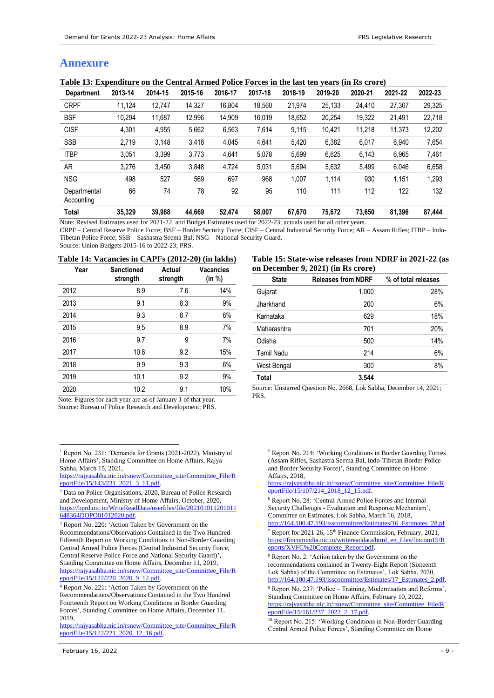# **Annexure**

<span id="page-8-0"></span>

| <b>Department</b>          | 2013-14 | 2014-15 | 2015-16 | 2016-17 | 2017-18 | 2018-19 | 2019-20 | 2020-21 | 2021-22 | 2022-23 |
|----------------------------|---------|---------|---------|---------|---------|---------|---------|---------|---------|---------|
| <b>CRPF</b>                | 11,124  | 12,747  | 14,327  | 16.804  | 18,560  | 21,974  | 25,133  | 24,410  | 27,307  | 29,325  |
| <b>BSF</b>                 | 10.294  | 11.687  | 12,996  | 14,909  | 16,019  | 18,652  | 20,254  | 19,322  | 21,491  | 22,718  |
| <b>CISF</b>                | 4,301   | 4,955   | 5,662   | 6,563   | 7,614   | 9,115   | 10,421  | 11,218  | 11.373  | 12,202  |
| <b>SSB</b>                 | 2,719   | 3.148   | 3,418   | 4,045   | 4,641   | 5,420   | 6,382   | 6,017   | 6.940   | 7,654   |
| <b>ITBP</b>                | 3,051   | 3.399   | 3.773   | 4,641   | 5.078   | 5.699   | 6,625   | 6,143   | 6.965   | 7,461   |
| AR.                        | 3,276   | 3.450   | 3.848   | 4,724   | 5,031   | 5,694   | 5,632   | 5,499   | 6.046   | 6,658   |
| <b>NSG</b>                 | 498     | 527     | 569     | 697     | 968     | 1.007   | 1,114   | 930     | 1.151   | 1,293   |
| Departmental<br>Accounting | 66      | 74      | 78      | 92      | 95      | 110     | 111     | 112     | 122     | 132     |
| Total                      | 35.329  | 39.988  | 44.669  | 52,474  | 58,007  | 67.670  | 75.672  | 73.650  | 81.396  | 87.444  |

Note: Revised Estimates used for 2021-22, and Budget Estimates used for 2022-23; actuals used for all other years.

CRPF – Central Reserve Police Force; BSF – Border Security Force; CISF – Central Industrial Security Force; AR – Assam Rifles; ITBP – Indo-Tibetan Police Force; SSB – Sashastra Seema Bal; NSG – National Security Guard.

Source: Union Budgets 2015-16 to 2022-23; PRS.

#### **Table 14: Vacancies in CAPFs (2012-20) (in lakhs)**

| Year | <b>Sanctioned</b><br>strength | Actual<br>strength | Vacancies<br>(in %) |
|------|-------------------------------|--------------------|---------------------|
| 2012 | 8.9                           | 7.6                | 14%                 |
| 2013 | 9.1                           | 8.3                | 9%                  |
| 2014 | 9.3                           | 8.7                | 6%                  |
| 2015 | 9.5                           | 8.9                | 7%                  |
| 2016 | 9.7                           | 9                  | 7%                  |
| 2017 | 10.8                          | 9.2                | 15%                 |
| 2018 | 9.9                           | 9.3                | 6%                  |
| 2019 | 10.1                          | 9.2                | 9%                  |
| 2020 | 10.2                          | 9.1                | 10%                 |

Note: Figures for each year are as of January 1 of that year. Source: Bureau of Police Research and Development; PRS.

[https://rajyasabha.nic.in/rsnew/Committee\\_site/Committee\\_File/R](https://rajyasabha.nic.in/rsnew/Committee_site/Committee_File/ReportFile/15/122/221_2020_12_16.pdf) [eportFile/15/122/221\\_2020\\_12\\_16.pdf.](https://rajyasabha.nic.in/rsnew/Committee_site/Committee_File/ReportFile/15/122/221_2020_12_16.pdf)

<span id="page-8-1"></span>**Table 15: State-wise releases from NDRF in 2021-22 (as on December 9, 2021) (in Rs crore)**

| <b>State</b>      | <b>Releases from NDRF</b> | % of total releases |
|-------------------|---------------------------|---------------------|
| Gujarat           | 1,000                     | 28%                 |
| Jharkhand         | 200                       | 6%                  |
| Karnataka         | 629                       | 18%                 |
| Maharashtra       | 701                       | 20%                 |
| Odisha            | 500                       | 14%                 |
| <b>Tamil Nadu</b> | 214                       | 6%                  |
| West Bengal       | 300                       | 8%                  |
| Total             | 3,544                     |                     |

Source: Unstarred Question No. 2668, Lok Sabha, December 14, 2021; PRS.

<sup>5</sup> Report No. 214: 'Working Conditions in Border Guarding Forces (Assam Rifles, Sashastra Seema Bal, Indo-Tibetan Border Police and Border Security Force)', Standing Committee on Home Affairs, 2018,

[https://rajyasabha.nic.in/rsnew/Committee\\_site/Committee\\_File/R](https://rajyasabha.nic.in/rsnew/Committee_site/Committee_File/ReportFile/15/107/214_2018_12_15.pdf) [eportFile/15/107/214\\_2018\\_12\\_15.pdf.](https://rajyasabha.nic.in/rsnew/Committee_site/Committee_File/ReportFile/15/107/214_2018_12_15.pdf)

<sup>7</sup> Report for 2021-26, 15<sup>th</sup> Finance Commission, February, 2021, [https://fincomindia.nic.in/writereaddata/html\\_en\\_files/fincom15/R](https://fincomindia.nic.in/writereaddata/html_en_files/fincom15/Reports/XVFC%20Complete_Report.pdf) [eports/XVFC%20Complete\\_Report.pdf.](https://fincomindia.nic.in/writereaddata/html_en_files/fincom15/Reports/XVFC%20Complete_Report.pdf) 

<sup>9</sup> Report No. 237: 'Police – Training, Modernisation and Reforms', Standing Committee on Home Affairs, February 10, 2022, [https://rajyasabha.nic.in/rsnew/Committee\\_site/Committee\\_File/R](https://rajyasabha.nic.in/rsnew/Committee_site/Committee_File/ReportFile/15/161/237_2022_2_17.pdf) [eportFile/15/161/237\\_2022\\_2\\_17.pdf.](https://rajyasabha.nic.in/rsnew/Committee_site/Committee_File/ReportFile/15/161/237_2022_2_17.pdf)

<sup>10</sup> Report No. 215: 'Working Conditions in Non-Border Guarding Central Armed Police Forces', Standing Committee on Home

<sup>1</sup> Report No. 231: 'Demands for Grants (2021-2022), Ministry of Home Affairs', Standing Committee on Home Affairs, Rajya Sabha, March 15, 2021,

[https://rajyasabha.nic.in/rsnew/Committee\\_site/Committee\\_File/R](https://rajyasabha.nic.in/rsnew/Committee_site/Committee_File/ReportFile/15/143/231_2021_3_11.pdf) [eportFile/15/143/231\\_2021\\_3\\_11.pdf.](https://rajyasabha.nic.in/rsnew/Committee_site/Committee_File/ReportFile/15/143/231_2021_3_11.pdf)

<sup>2</sup> Data on Police Organisations, 2020, Bureau of Police Research and Development, Ministry of Home Affairs, October, 2020, [https://bprd.nic.in/WriteReadData/userfiles/file/202101011201011](https://bprd.nic.in/WriteReadData/userfiles/file/202101011201011648364DOPO01012020.pdf) [648364DOPO01012020.pdf.](https://bprd.nic.in/WriteReadData/userfiles/file/202101011201011648364DOPO01012020.pdf) 

<sup>3</sup> Report No. 220: 'Action Taken by Government on the Recommendations/Observations Contained in the Two Hundred Fifteenth Report on Working Conditions in Non-Border Guarding Central Armed Police Forces (Central Industrial Security Force, Central Reserve Police Force and National Security Guard)', Standing Committee on Home Affairs, December 11, 2019, [https://rajyasabha.nic.in/rsnew/Committee\\_site/Committee\\_File/R](https://rajyasabha.nic.in/rsnew/Committee_site/Committee_File/ReportFile/15/122/220_2020_9_12.pdf) [eportFile/15/122/220\\_2020\\_9\\_12.pdf.](https://rajyasabha.nic.in/rsnew/Committee_site/Committee_File/ReportFile/15/122/220_2020_9_12.pdf)

<sup>4</sup> Report No. 221: 'Action Taken by Government on the Recommendations/Observations Contained in the Two Hundred Fourteenth Report on Working Conditions in Border Guarding Forces', Standing Committee on Home Affairs, December 11, 2019,

<sup>6</sup> Report No. 28: 'Central Armed Police Forces and Internal Security Challenges - Evaluation and Response Mechanism', Committee on Estimates, Lok Sabha, March 16, 2018, [http://164.100.47.193/lsscommittee/Estimates/16\\_Estimates\\_28.pf](http://164.100.47.193/lsscommittee/Estimates/16_Estimates_28.pf)

<sup>8</sup> Report No. 2: 'Action taken by the Government on the recommendations contained in Twenty-Eight Report (Sixteenth Lok Sabha) of the Committee on Estimates', Lok Sabha, 2020, [http://164.100.47.193/lsscommittee/Estimates/17\\_Estimates\\_2.pdf.](http://164.100.47.193/lsscommittee/Estimates/17_Estimates_2.pdf)